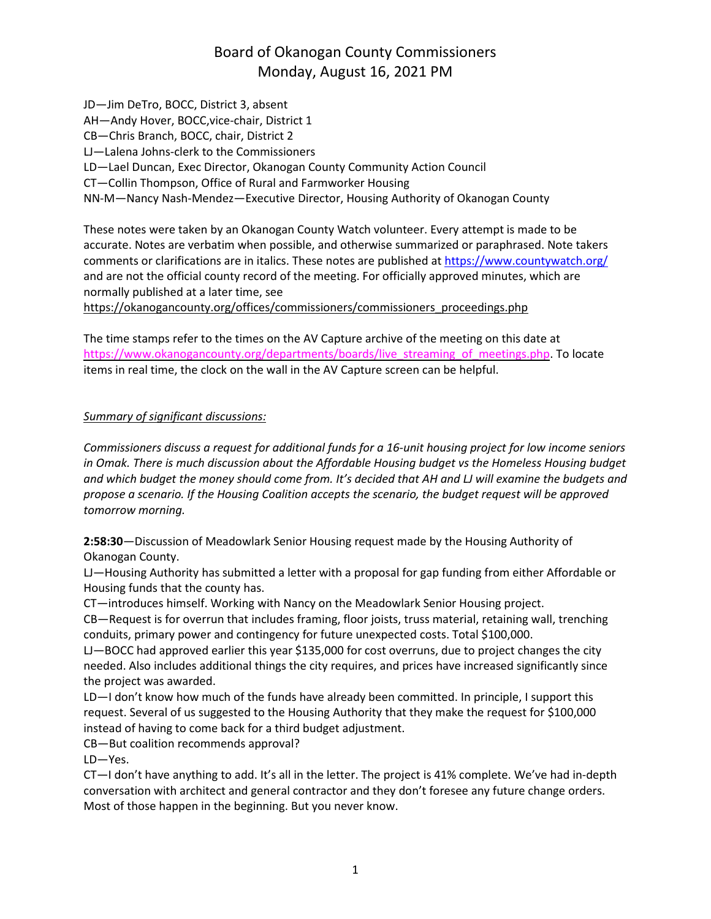## Board of Okanogan County Commissioners Monday, August 16, 2021 PM

JD—Jim DeTro, BOCC, District 3, absent AH—Andy Hover, BOCC,vice-chair, District 1 CB—Chris Branch, BOCC, chair, District 2 LJ—Lalena Johns-clerk to the Commissioners LD—Lael Duncan, Exec Director, Okanogan County Community Action Council CT—Collin Thompson, Office of Rural and Farmworker Housing NN-M—Nancy Nash-Mendez—Executive Director, Housing Authority of Okanogan County

These notes were taken by an Okanogan County Watch volunteer. Every attempt is made to be accurate. Notes are verbatim when possible, and otherwise summarized or paraphrased. Note takers comments or clarifications are in italics. These notes are published at <https://www.countywatch.org/> and are not the official county record of the meeting. For officially approved minutes, which are normally published at a later time, see

[https://okanogancounty.org/offices/commissioners/commissioners\\_proceedings.php](https://okanogancounty.org/offices/commissioners/commissioners_proceedings.php)

The time stamps refer to the times on the AV Capture archive of the meeting on this date at [https://www.okanogancounty.org/departments/boards/live\\_streaming\\_of\\_meetings.php.](https://www.okanogancounty.org/departments/boards/live_streaming_of_meetings.php) To locate items in real time, the clock on the wall in the AV Capture screen can be helpful.

## *Summary of significant discussions:*

*Commissioners discuss a request for additional funds for a 16-unit housing project for low income seniors in Omak. There is much discussion about the Affordable Housing budget vs the Homeless Housing budget* and which budget the money should come from. It's decided that AH and LJ will examine the budgets and *propose a scenario. If the Housing Coalition accepts the scenario, the budget request will be approved tomorrow morning.*

**2:58:30**—Discussion of Meadowlark Senior Housing request made by the Housing Authority of Okanogan County.

LJ—Housing Authority has submitted a letter with a proposal for gap funding from either Affordable or Housing funds that the county has.

CT—introduces himself. Working with Nancy on the Meadowlark Senior Housing project.

CB—Request is for overrun that includes framing, floor joists, truss material, retaining wall, trenching conduits, primary power and contingency for future unexpected costs. Total \$100,000.

LJ—BOCC had approved earlier this year \$135,000 for cost overruns, due to project changes the city needed. Also includes additional things the city requires, and prices have increased significantly since the project was awarded.

LD—I don't know how much of the funds have already been committed. In principle, I support this request. Several of us suggested to the Housing Authority that they make the request for \$100,000 instead of having to come back for a third budget adjustment.

CB—But coalition recommends approval?

LD—Yes.

CT—I don't have anything to add. It's all in the letter. The project is 41% complete. We've had in-depth conversation with architect and general contractor and they don't foresee any future change orders. Most of those happen in the beginning. But you never know.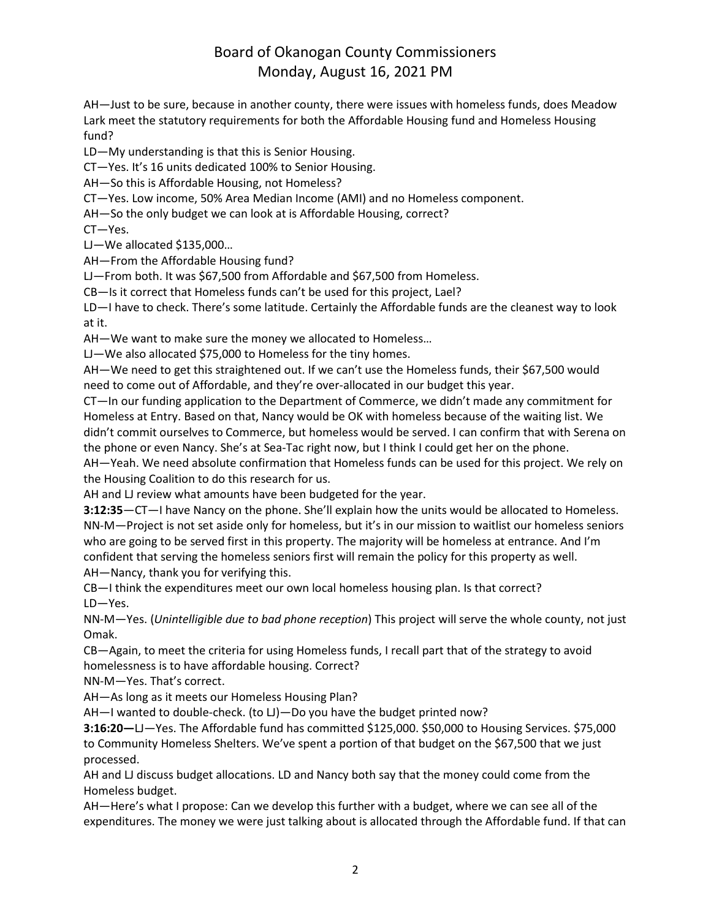## Board of Okanogan County Commissioners Monday, August 16, 2021 PM

AH—Just to be sure, because in another county, there were issues with homeless funds, does Meadow Lark meet the statutory requirements for both the Affordable Housing fund and Homeless Housing fund?

LD—My understanding is that this is Senior Housing.

CT—Yes. It's 16 units dedicated 100% to Senior Housing.

AH—So this is Affordable Housing, not Homeless?

CT—Yes. Low income, 50% Area Median Income (AMI) and no Homeless component.

AH—So the only budget we can look at is Affordable Housing, correct?

CT—Yes.

LJ—We allocated \$135,000…

AH—From the Affordable Housing fund?

LJ—From both. It was \$67,500 from Affordable and \$67,500 from Homeless.

CB—Is it correct that Homeless funds can't be used for this project, Lael?

LD—I have to check. There's some latitude. Certainly the Affordable funds are the cleanest way to look at it.

AH—We want to make sure the money we allocated to Homeless…

LJ—We also allocated \$75,000 to Homeless for the tiny homes.

AH—We need to get this straightened out. If we can't use the Homeless funds, their \$67,500 would need to come out of Affordable, and they're over-allocated in our budget this year.

CT—In our funding application to the Department of Commerce, we didn't made any commitment for Homeless at Entry. Based on that, Nancy would be OK with homeless because of the waiting list. We didn't commit ourselves to Commerce, but homeless would be served. I can confirm that with Serena on the phone or even Nancy. She's at Sea-Tac right now, but I think I could get her on the phone.

AH—Yeah. We need absolute confirmation that Homeless funds can be used for this project. We rely on the Housing Coalition to do this research for us.

AH and LJ review what amounts have been budgeted for the year.

**3:12:35**—CT—I have Nancy on the phone. She'll explain how the units would be allocated to Homeless. NN-M—Project is not set aside only for homeless, but it's in our mission to waitlist our homeless seniors who are going to be served first in this property. The majority will be homeless at entrance. And I'm confident that serving the homeless seniors first will remain the policy for this property as well. AH—Nancy, thank you for verifying this.

CB—I think the expenditures meet our own local homeless housing plan. Is that correct? LD—Yes.

NN-M—Yes. (*Unintelligible due to bad phone reception*) This project will serve the whole county, not just Omak.

CB—Again, to meet the criteria for using Homeless funds, I recall part that of the strategy to avoid homelessness is to have affordable housing. Correct?

NN-M—Yes. That's correct.

AH—As long as it meets our Homeless Housing Plan?

AH—I wanted to double-check. (to LJ)—Do you have the budget printed now?

**3:16:20—**LJ—Yes. The Affordable fund has committed \$125,000. \$50,000 to Housing Services. \$75,000 to Community Homeless Shelters. We've spent a portion of that budget on the \$67,500 that we just processed.

AH and LJ discuss budget allocations. LD and Nancy both say that the money could come from the Homeless budget.

AH—Here's what I propose: Can we develop this further with a budget, where we can see all of the expenditures. The money we were just talking about is allocated through the Affordable fund. If that can